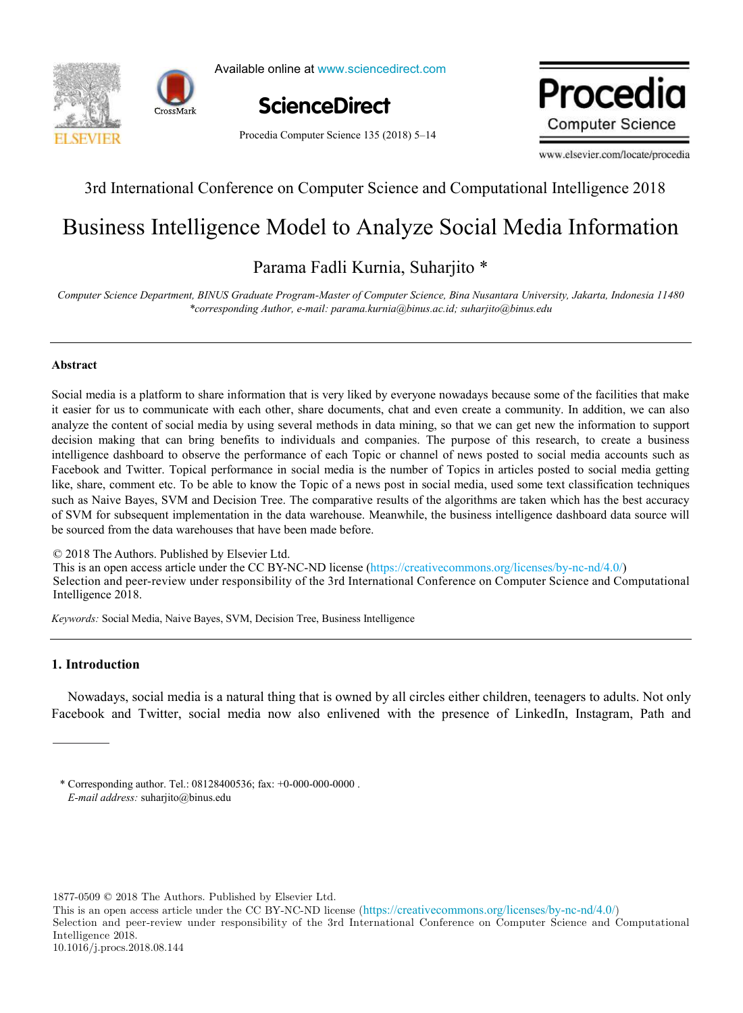



Available online at www.sciencedirect.com

**ScienceDirect**

mus.com/locate/internationality. www.edit **Computer Science** 

Procedia Computer Science 135 (2018) 5–14

www.elsevier.com/locate/procedia

## 3rd International Conference on Computer Science and Computational Intelligence 2018 3rd International Conference on Computer Science and Computational Intelligence 2018

# Business Intelligence Model to Analyze Social Media Information Business Intelligence Model to Analyze Social Media Information

#### Parama Fadli Kurnia, Suharjito \* *Computer Science Department, BINUS Graduate Program-Master of Computer Science, Bina Nusantara University, Jakarta, Indonesia 11480* Parama Fadli Kurnia, Suharjito \*

Computer Science Department, BINUS Graduate Program-Master of Computer Science, Bina Nusantara University, Jakarta, Indonesia 11480 *\*corresponding Author, e-mail: parama.kurnia@binus.ac.id; suharjito@binus.edu*

## **Abstract**

Social media is a platform to share information that is very liked by everyone nowadays because some of the facilities that make it easier for us to communicate with each other, share documents, chat and even create a community. In addition, we can also analyze the content of social media by using several methods in data mining, so that we can get new the information to support decision making that can bring benefits to individuals and companies. The purpose of this research, to create a business intelligence dashboard to observe the performance of each Topic or channel of news posted to social media accounts such as Facebook and Twitter. Topical performance in social media is the number of Topics in articles posted to social media getting like, share, comment etc. To be able to know the Topic of a news post in social media, used some text classification techniques such as Naive Bayes, SVM and Decision Tree. The comparative results of the algorithms are taken which has the best accuracy of SVM for subsequent implementation in the data warehouse. Meanwhile, the business intelligence dashboard data source will be sourced from the data warehouses that have been made before.

© 2018 The Authors. Published by Elsevier Ltd. © 2018 The Authors. Published by Elsevier Ltd.

C 2018 The Additions. Fubrished by Eisevier Etd.<br>This is an open access article under the CC BY-NC-ND license (https://creativecommons.org/licenses/by-nc-nd/4.0/) Selection and peer-review under responsibility of the 3rd International Conference on Computer Science and Computational Intelligence 2018. Intelligence 2018. Selection and peer-review under responsibility of the 3rd International Conference on Compare Science and Computational Computer Science and Computer Science and Computer Science and Computer Science and Computer Science a  $\mathcal{L}$ 

*Keywords:* Social Media, Naive Bayes, SVM, Decision Tree, Business Intelligence *Keywords:* Social Media, Naive Bayes, SVM, Decision Tree, Business Intelligence

## **1. Introduction**

Nowadays, social media is a natural thing that is owned by all circles either children, teenagers to adults. Not only Facebook and Twitter, social media now also enlivened with the presence of LinkedIn, Instagram, Path and

1877-0509 © 2018 The Authors. Published by Elsevier Ltd.

This is an open access article under the CC BY-NC-ND license (<https://creativecommons.org/licenses/by-nc-nd/4.0/>) Selection and peer-review under responsibility of the 3rd International Conference on Computer Science and Computational Intelligence 2018. 10.1016/j.procs.2018.08.144

<sup>\*</sup> Corresponding author. Tel.: 08128400536; fax: +0-000-000-0000 . *E-mail address:* suharjito@binus.edu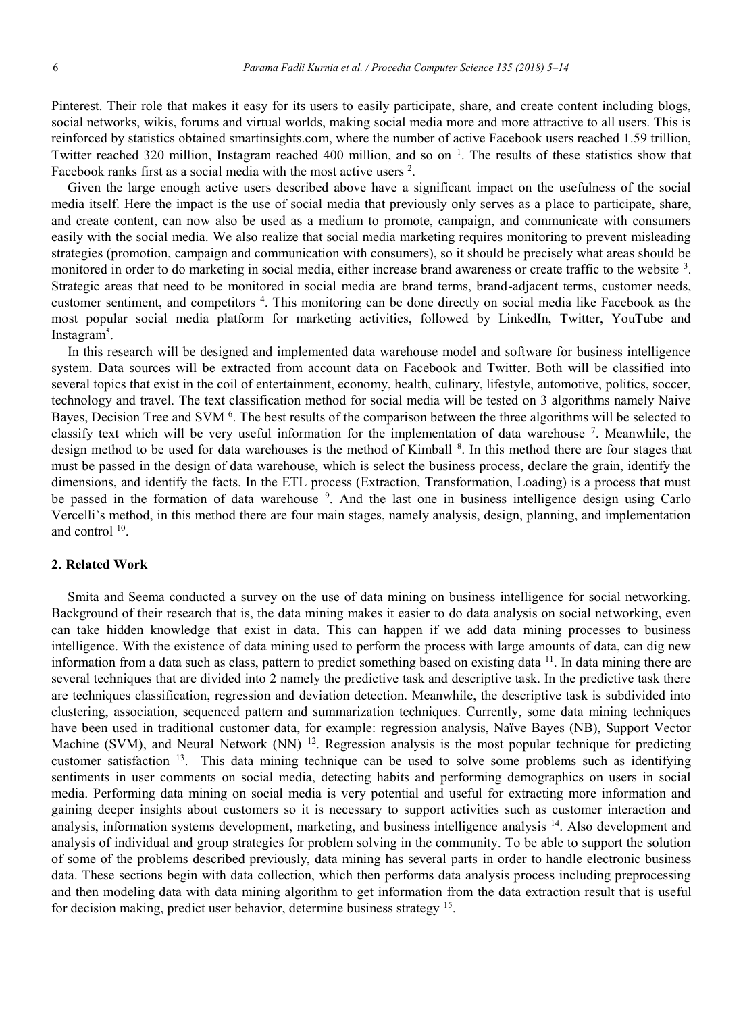Pinterest. Their role that makes it easy for its users to easily participate, share, and create content including blogs, social networks, wikis, forums and virtual worlds, making social media more and more attractive to all users. This is reinforced by statistics obtained smartinsights.com, where the number of active Facebook users reached 1.59 trillion, Twitter reached 320 million, Instagram reached 400 million, and so on  $\frac{1}{1}$ . The results of these statistics show that Facebook ranks first as a social media with the most active users  $2$ .

Given the large enough active users described above have a significant impact on the usefulness of the social media itself. Here the impact is the use of social media that previously only serves as a place to participate, share, and create content, can now also be used as a medium to promote, campaign, and communicate with consumers easily with the social media. We also realize that social media marketing requires monitoring to prevent misleading strategies (promotion, campaign and communication with consumers), so it should be precisely what areas should be monitored in order to do marketing in social media, either increase brand awareness or create traffic to the website <sup>3</sup>. Strategic areas that need to be monitored in social media are brand terms, brand-adjacent terms, customer needs, customer sentiment, and competitors <sup>4</sup> . This monitoring can be done directly on social media like Facebook as the most popular social media platform for marketing activities, followed by LinkedIn, Twitter, YouTube and Instagram<sup>5</sup>.

In this research will be designed and implemented data warehouse model and software for business intelligence system. Data sources will be extracted from account data on Facebook and Twitter. Both will be classified into several topics that exist in the coil of entertainment, economy, health, culinary, lifestyle, automotive, politics, soccer, technology and travel. The text classification method for social media will be tested on 3 algorithms namely Naive Bayes, Decision Tree and SVM <sup>6</sup>. The best results of the comparison between the three algorithms will be selected to classify text which will be very useful information for the implementation of data warehouse 7. Meanwhile, the design method to be used for data warehouses is the method of Kimball <sup>8</sup>. In this method there are four stages that must be passed in the design of data warehouse, which is select the business process, declare the grain, identify the dimensions, and identify the facts. In the ETL process (Extraction, Transformation, Loading) is a process that must be passed in the formation of data warehouse <sup>9</sup>. And the last one in business intelligence design using Carlo Vercelli's method, in this method there are four main stages, namely analysis, design, planning, and implementation and control 10.

### **2. Related Work**

Smita and Seema conducted a survey on the use of data mining on business intelligence for social networking. Background of their research that is, the data mining makes it easier to do data analysis on social networking, even can take hidden knowledge that exist in data. This can happen if we add data mining processes to business intelligence. With the existence of data mining used to perform the process with large amounts of data, can dig new information from a data such as class, pattern to predict something based on existing data  $11$ . In data mining there are several techniques that are divided into 2 namely the predictive task and descriptive task. In the predictive task there are techniques classification, regression and deviation detection. Meanwhile, the descriptive task is subdivided into clustering, association, sequenced pattern and summarization techniques. Currently, some data mining techniques have been used in traditional customer data, for example: regression analysis, Naïve Bayes (NB), Support Vector Machine (SVM), and Neural Network (NN)  $^{12}$ . Regression analysis is the most popular technique for predicting customer satisfaction 13. This data mining technique can be used to solve some problems such as identifying sentiments in user comments on social media, detecting habits and performing demographics on users in social media. Performing data mining on social media is very potential and useful for extracting more information and gaining deeper insights about customers so it is necessary to support activities such as customer interaction and analysis, information systems development, marketing, and business intelligence analysis <sup>14</sup>. Also development and analysis of individual and group strategies for problem solving in the community. To be able to support the solution of some of the problems described previously, data mining has several parts in order to handle electronic business data. These sections begin with data collection, which then performs data analysis process including preprocessing and then modeling data with data mining algorithm to get information from the data extraction result that is useful for decision making, predict user behavior, determine business strategy 15.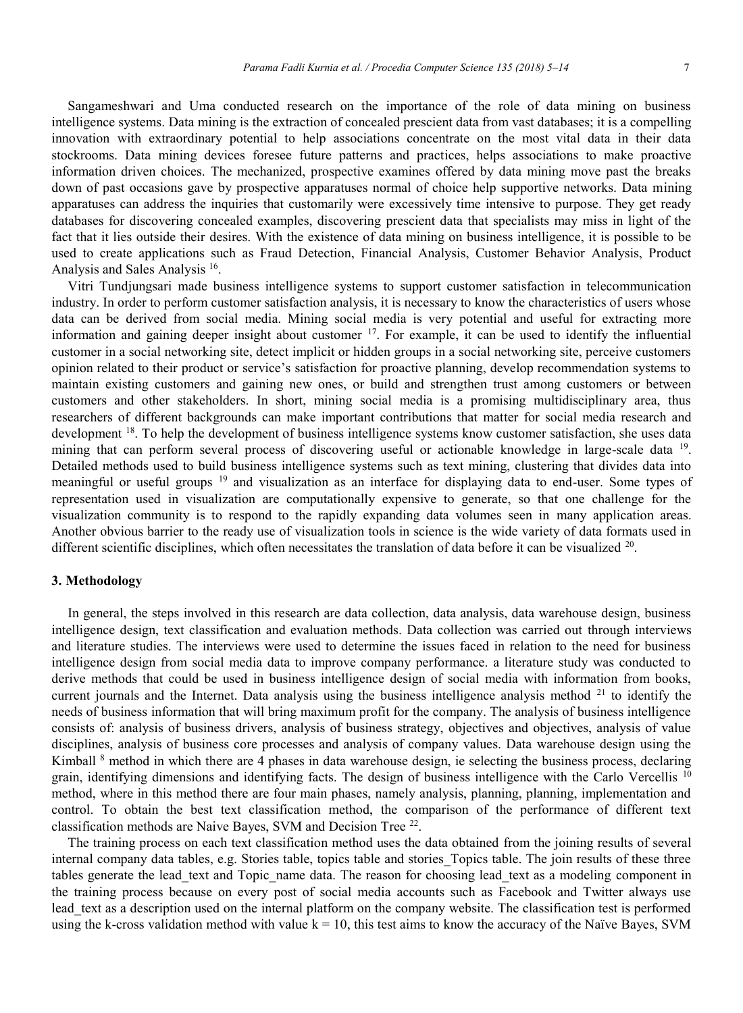Sangameshwari and Uma conducted research on the importance of the role of data mining on business intelligence systems. Data mining is the extraction of concealed prescient data from vast databases; it is a compelling innovation with extraordinary potential to help associations concentrate on the most vital data in their data stockrooms. Data mining devices foresee future patterns and practices, helps associations to make proactive information driven choices. The mechanized, prospective examines offered by data mining move past the breaks down of past occasions gave by prospective apparatuses normal of choice help supportive networks. Data mining apparatuses can address the inquiries that customarily were excessively time intensive to purpose. They get ready databases for discovering concealed examples, discovering prescient data that specialists may miss in light of the fact that it lies outside their desires. With the existence of data mining on business intelligence, it is possible to be used to create applications such as Fraud Detection, Financial Analysis, Customer Behavior Analysis, Product Analysis and Sales Analysis 16.

Vitri Tundjungsari made business intelligence systems to support customer satisfaction in telecommunication industry. In order to perform customer satisfaction analysis, it is necessary to know the characteristics of users whose data can be derived from social media. Mining social media is very potential and useful for extracting more information and gaining deeper insight about customer  $17$ . For example, it can be used to identify the influential customer in a social networking site, detect implicit or hidden groups in a social networking site, perceive customers opinion related to their product or service's satisfaction for proactive planning, develop recommendation systems to maintain existing customers and gaining new ones, or build and strengthen trust among customers or between customers and other stakeholders. In short, mining social media is a promising multidisciplinary area, thus researchers of different backgrounds can make important contributions that matter for social media research and development <sup>18</sup>. To help the development of business intelligence systems know customer satisfaction, she uses data mining that can perform several process of discovering useful or actionable knowledge in large-scale data 19. Detailed methods used to build business intelligence systems such as text mining, clustering that divides data into meaningful or useful groups 19 and visualization as an interface for displaying data to end-user. Some types of representation used in visualization are computationally expensive to generate, so that one challenge for the visualization community is to respond to the rapidly expanding data volumes seen in many application areas. Another obvious barrier to the ready use of visualization tools in science is the wide variety of data formats used in different scientific disciplines, which often necessitates the translation of data before it can be visualized  $20$ .

## **3. Methodology**

In general, the steps involved in this research are data collection, data analysis, data warehouse design, business intelligence design, text classification and evaluation methods. Data collection was carried out through interviews and literature studies. The interviews were used to determine the issues faced in relation to the need for business intelligence design from social media data to improve company performance. a literature study was conducted to derive methods that could be used in business intelligence design of social media with information from books, current journals and the Internet. Data analysis using the business intelligence analysis method  $21$  to identify the needs of business information that will bring maximum profit for the company. The analysis of business intelligence consists of: analysis of business drivers, analysis of business strategy, objectives and objectives, analysis of value disciplines, analysis of business core processes and analysis of company values. Data warehouse design using the Kimball <sup>8</sup> method in which there are 4 phases in data warehouse design, ie selecting the business process, declaring grain, identifying dimensions and identifying facts. The design of business intelligence with the Carlo Vercellis <sup>10</sup> method, where in this method there are four main phases, namely analysis, planning, planning, implementation and control. To obtain the best text classification method, the comparison of the performance of different text classification methods are Naive Bayes, SVM and Decision Tree 22.

The training process on each text classification method uses the data obtained from the joining results of several internal company data tables, e.g. Stories table, topics table and stories\_Topics table. The join results of these three tables generate the lead text and Topic name data. The reason for choosing lead text as a modeling component in the training process because on every post of social media accounts such as Facebook and Twitter always use lead text as a description used on the internal platform on the company website. The classification test is performed using the k-cross validation method with value  $k = 10$ , this test aims to know the accuracy of the Naïve Bayes, SVM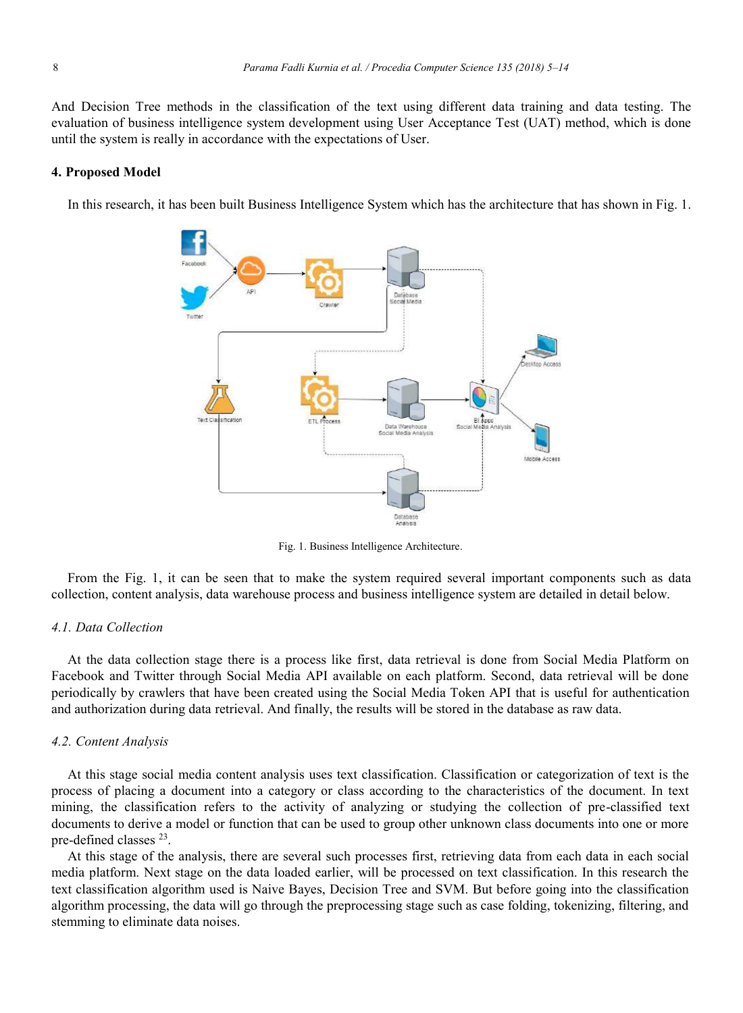And Decision Tree methods in the classification of the text using different data training and data testing. The evaluation of business intelligence system development using User Acceptance Test (UAT) method, which is done until the system is really in accordance with the expectations of User.

#### **4. Proposed Model**

In this research, it has been built Business Intelligence System which has the architecture that has shown in Fig. 1.



Fig. 1. Business Intelligence Architecture.

From the Fig. 1, it can be seen that to make the system required several important components such as data collection, content analysis, data warehouse process and business intelligence system are detailed in detail below.

## *4.1. Data Collection*

At the data collection stage there is a process like first, data retrieval is done from Social Media Platform on Facebook and Twitter through Social Media API available on each platform. Second, data retrieval will be done periodically by crawlers that have been created using the Social Media Token API that is useful for authentication and authorization during data retrieval. And finally, the results will be stored in the database as raw data.

#### *4.2. Content Analysis*

At this stage social media content analysis uses text classification. Classification or categorization of text is the process of placing a document into a category or class according to the characteristics of the document. In text mining, the classification refers to the activity of analyzing or studying the collection of pre-classified text documents to derive a model or function that can be used to group other unknown class documents into one or more pre-defined classes 23.

At this stage of the analysis, there are several such processes first, retrieving data from each data in each social media platform. Next stage on the data loaded earlier, will be processed on text classification. In this research the text classification algorithm used is Naive Bayes, Decision Tree and SVM. But before going into the classification algorithm processing, the data will go through the preprocessing stage such as case folding, tokenizing, filtering, and stemming to eliminate data noises.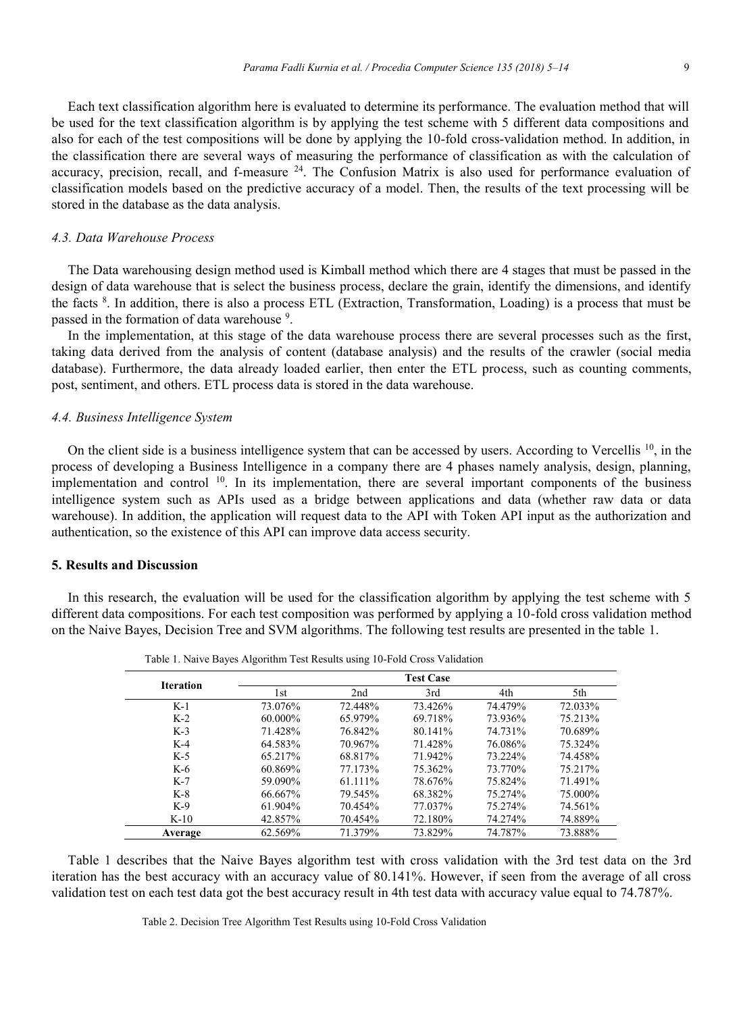Each text classification algorithm here is evaluated to determine its performance. The evaluation method that will be used for the text classification algorithm is by applying the test scheme with 5 different data compositions and also for each of the test compositions will be done by applying the 10-fold cross-validation method. In addition, in the classification there are several ways of measuring the performance of classification as with the calculation of accuracy, precision, recall, and f-measure <sup>24</sup>. The Confusion Matrix is also used for performance evaluation of classification models based on the predictive accuracy of a model. Then, the results of the text processing will be stored in the database as the data analysis.

## *4.3. Data Warehouse Process*

The Data warehousing design method used is Kimball method which there are 4 stages that must be passed in the design of data warehouse that is select the business process, declare the grain, identify the dimensions, and identify the facts <sup>8</sup> . In addition, there is also a process ETL (Extraction, Transformation, Loading) is a process that must be passed in the formation of data warehouse<sup>9</sup>.

In the implementation, at this stage of the data warehouse process there are several processes such as the first, taking data derived from the analysis of content (database analysis) and the results of the crawler (social media database). Furthermore, the data already loaded earlier, then enter the ETL process, such as counting comments, post, sentiment, and others. ETL process data is stored in the data warehouse.

#### *4.4. Business Intelligence System*

On the client side is a business intelligence system that can be accessed by users. According to Vercellis  $^{10}$ , in the process of developing a Business Intelligence in a company there are 4 phases namely analysis, design, planning, implementation and control <sup>10</sup>. In its implementation, there are several important components of the business intelligence system such as APIs used as a bridge between applications and data (whether raw data or data warehouse). In addition, the application will request data to the API with Token API input as the authorization and authentication, so the existence of this API can improve data access security.

## **5. Results and Discussion**

In this research, the evaluation will be used for the classification algorithm by applying the test scheme with 5 different data compositions. For each test composition was performed by applying a 10-fold cross validation method on the Naive Bayes, Decision Tree and SVM algorithms. The following test results are presented in the table 1.

| <b>Iteration</b> | <b>Test Case</b> |                 |         |         |         |  |
|------------------|------------------|-----------------|---------|---------|---------|--|
|                  | l st             | 2 <sub>nd</sub> | 3rd     | 4th     | 5th     |  |
| $K-1$            | 73.076%          | 72.448%         | 73.426% | 74.479% | 72.033% |  |
| $K-2$            | $60.000\%$       | 65.979%         | 69.718% | 73.936% | 75.213% |  |
| $K-3$            | 71.428%          | 76.842%         | 80.141% | 74.731% | 70.689% |  |
| $K-4$            | 64.583%          | 70.967%         | 71.428% | 76.086% | 75.324% |  |
| $K-5$            | 65.217%          | 68.817%         | 71.942% | 73.224% | 74.458% |  |
| $K-6$            | 60.869%          | 77.173%         | 75.362% | 73.770% | 75.217% |  |
| $K-7$            | 59.090%          | 61.111%         | 78.676% | 75.824% | 71.491% |  |
| $K-8$            | 66.667%          | 79.545%         | 68.382% | 75.274% | 75.000% |  |
| $K-9$            | $61.904\%$       | 70.454%         | 77.037% | 75.274% | 74.561% |  |
| $K-10$           | 42.857%          | 70.454%         | 72.180% | 74.274% | 74.889% |  |
| Average          | 62.569%          | 71.379%         | 73.829% | 74.787% | 73.888% |  |

Table 1. Naive Bayes Algorithm Test Results using 10-Fold Cross Validation

Table 1 describes that the Naive Bayes algorithm test with cross validation with the 3rd test data on the 3rd iteration has the best accuracy with an accuracy value of 80.141%. However, if seen from the average of all cross validation test on each test data got the best accuracy result in 4th test data with accuracy value equal to 74.787%.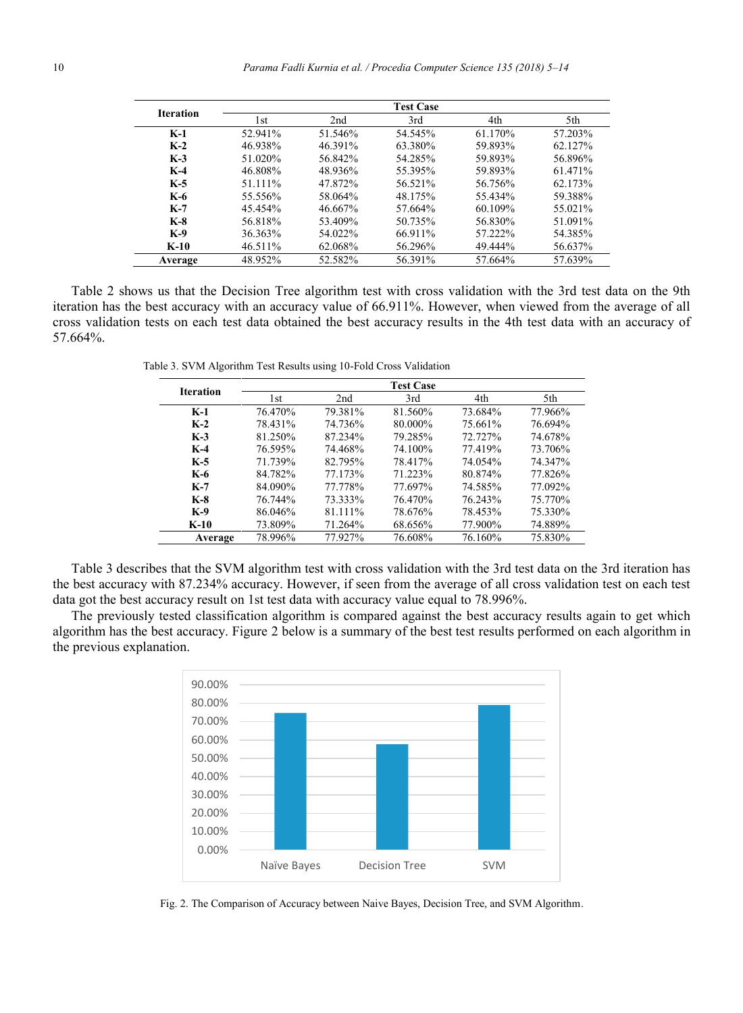| <b>Iteration</b> | <b>Test Case</b> |                 |         |         |         |
|------------------|------------------|-----------------|---------|---------|---------|
|                  | l st             | 2 <sub>nd</sub> | 3rd     | 4th     | 5th     |
| $K-1$            | 52.941%          | 51.546%         | 54.545% | 61.170% | 57.203% |
| $K-2$            | 46.938%          | 46.391%         | 63.380% | 59.893% | 62.127% |
| $K-3$            | 51.020%          | 56.842%         | 54.285% | 59.893% | 56.896% |
| $K-4$            | 46.808%          | 48.936%         | 55.395% | 59.893% | 61.471% |
| $K-5$            | 51.111%          | 47.872%         | 56.521% | 56.756% | 62.173% |
| K-6              | 55.556%          | 58.064%         | 48.175% | 55.434% | 59.388% |
| $K-7$            | 45.454%          | 46.667%         | 57.664% | 60.109% | 55.021% |
| $K-8$            | 56.818%          | 53.409%         | 50.735% | 56.830% | 51.091% |
| $K-9$            | 36.363%          | 54.022%         | 66.911% | 57.222% | 54.385% |
| $K-10$           | 46.511%          | 62.068%         | 56.296% | 49.444% | 56.637% |
| Average          | 48.952%          | 52.582%         | 56.391% | 57.664% | 57.639% |

Table 2 shows us that the Decision Tree algorithm test with cross validation with the 3rd test data on the 9th iteration has the best accuracy with an accuracy value of 66.911%. However, when viewed from the average of all cross validation tests on each test data obtained the best accuracy results in the 4th test data with an accuracy of 57.664%.

Table 3. SVM Algorithm Test Results using 10-Fold Cross Validation

| <b>Iteration</b> | <b>Test Case</b> |         |         |         |         |
|------------------|------------------|---------|---------|---------|---------|
|                  | l st             | 2nd     | 3rd     | 4th     | 5th     |
| $K-1$            | 76.470%          | 79.381% | 81.560% | 73.684% | 77.966% |
| $K-2$            | 78.431%          | 74.736% | 80.000% | 75.661% | 76.694% |
| $K-3$            | 81.250%          | 87.234% | 79.285% | 72.727% | 74.678% |
| $K-4$            | 76.595%          | 74.468% | 74.100% | 77.419% | 73.706% |
| $K-5$            | 71.739%          | 82.795% | 78.417% | 74.054% | 74.347% |
| K-6              | 84.782%          | 77.173% | 71.223% | 80.874% | 77.826% |
| $K-7$            | 84.090%          | 77.778% | 77.697% | 74.585% | 77.092% |
| $K-8$            | 76.744%          | 73.333% | 76.470% | 76.243% | 75.770% |
| $K-9$            | 86.046%          | 81.111% | 78.676% | 78.453% | 75.330% |
| $K-10$           | 73.809%          | 71.264% | 68.656% | 77.900% | 74.889% |
| Average          | 78.996%          | 77.927% | 76.608% | 76.160% | 75.830% |

Table 3 describes that the SVM algorithm test with cross validation with the 3rd test data on the 3rd iteration has the best accuracy with 87.234% accuracy. However, if seen from the average of all cross validation test on each test data got the best accuracy result on 1st test data with accuracy value equal to 78.996%.

The previously tested classification algorithm is compared against the best accuracy results again to get which algorithm has the best accuracy. Figure 2 below is a summary of the best test results performed on each algorithm in the previous explanation.



Fig. 2. The Comparison of Accuracy between Naive Bayes, Decision Tree, and SVM Algorithm.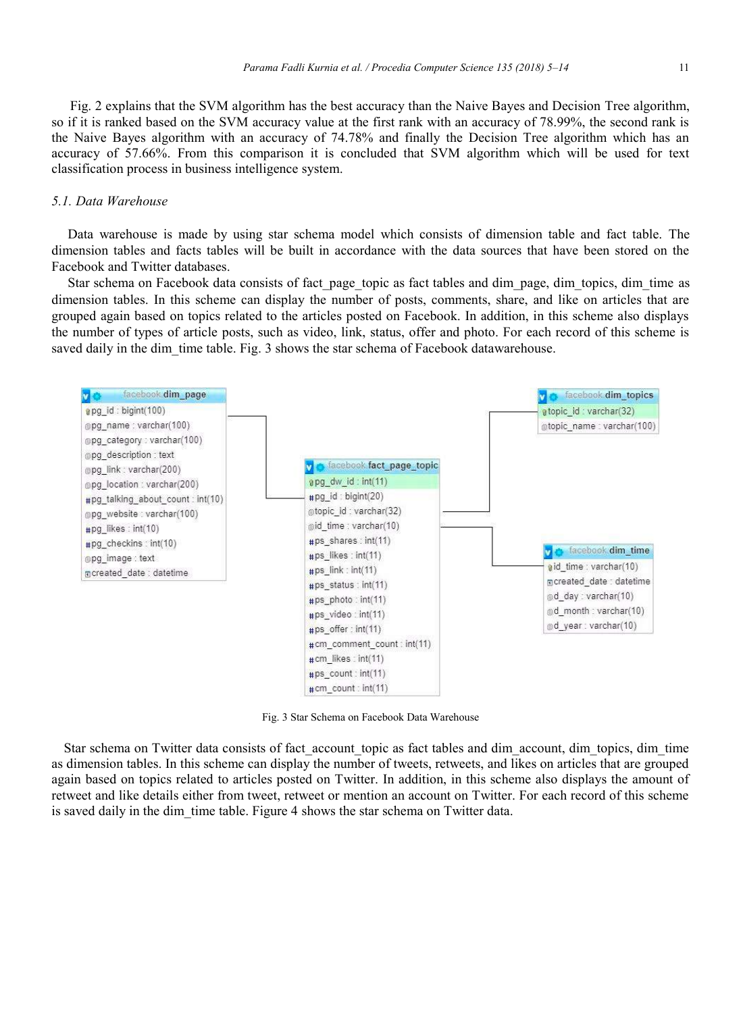Fig. 2 explains that the SVM algorithm has the best accuracy than the Naive Bayes and Decision Tree algorithm, so if it is ranked based on the SVM accuracy value at the first rank with an accuracy of 78.99%, the second rank is the Naive Bayes algorithm with an accuracy of 74.78% and finally the Decision Tree algorithm which has an accuracy of 57.66%. From this comparison it is concluded that SVM algorithm which will be used for text classification process in business intelligence system.

#### *5.1. Data Warehouse*

Data warehouse is made by using star schema model which consists of dimension table and fact table. The dimension tables and facts tables will be built in accordance with the data sources that have been stored on the Facebook and Twitter databases.

Star schema on Facebook data consists of fact page topic as fact tables and dim page, dim topics, dim time as dimension tables. In this scheme can display the number of posts, comments, share, and like on articles that are grouped again based on topics related to the articles posted on Facebook. In addition, in this scheme also displays the number of types of article posts, such as video, link, status, offer and photo. For each record of this scheme is saved daily in the dim time table. Fig. 3 shows the star schema of Facebook datawarehouse.



Fig. 3 Star Schema on Facebook Data Warehouse

Star schema on Twitter data consists of fact account topic as fact tables and dim account, dim topics, dim time as dimension tables. In this scheme can display the number of tweets, retweets, and likes on articles that are grouped again based on topics related to articles posted on Twitter. In addition, in this scheme also displays the amount of retweet and like details either from tweet, retweet or mention an account on Twitter. For each record of this scheme is saved daily in the dim time table. Figure 4 shows the star schema on Twitter data.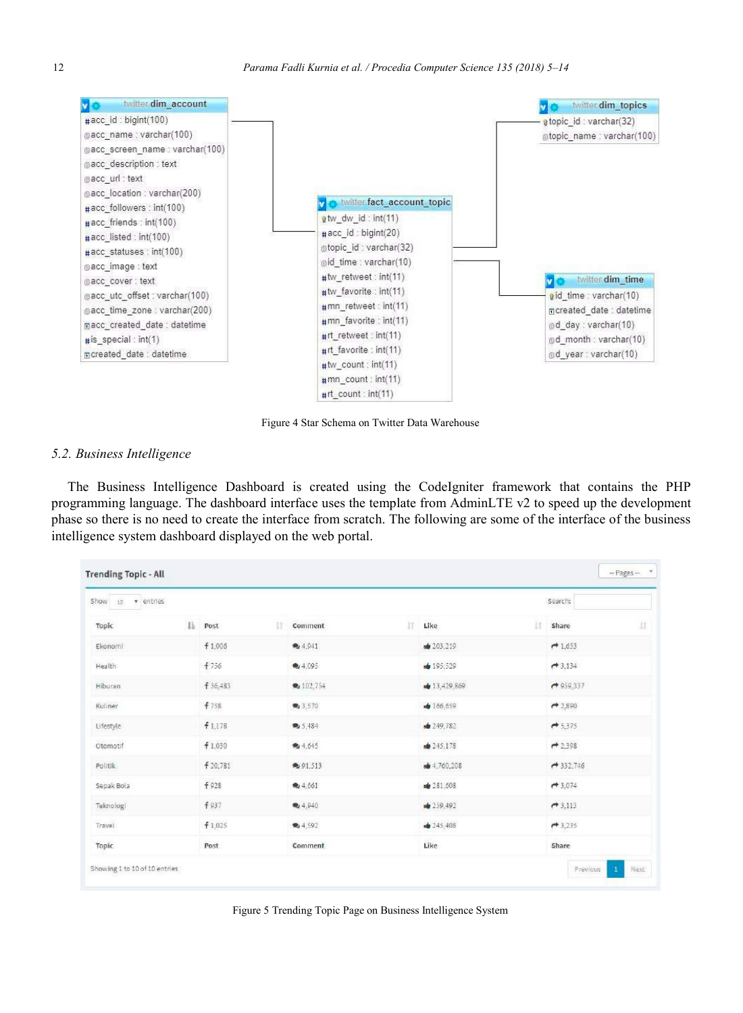

Figure 4 Star Schema on Twitter Data Warehouse

## *5.2. Business Intelligence*

The Business Intelligence Dashboard is created using the CodeIgniter framework that contains the PHP programming language. The dashboard interface uses the template from AdminLTE v2 to speed up the development phase so there is no need to create the interface from scratch. The following are some of the interface of the business intelligence system dashboard displayed on the web portal.

| Show to<br>v entries |              |                       |              | Search:     |
|----------------------|--------------|-----------------------|--------------|-------------|
| Topic                | li Post<br>Ħ | lT.<br><b>Comment</b> | 11<br>Like   | 17<br>share |
| Ekonomi              | f 1.006      | ● 4.941               | ₩ 203,219    | $+1,653$    |
| Health               | f 756        | ● 4.095               | de 195.529   | $+3.134$    |
| Hiburan              | f 36.483     | ● 102,754             | ● 13,429,869 | $+959.337$  |
| Kuliner              | f758         | ₹3,570                | ● 186,659    | $+2,890$    |
| Lifestyle            | f1.178       | <b>电</b> 5,484        | ₩ 249,782    | $+ 5,375$   |
| Otomotif             | f 1.030      | ●4.645                | 4245.178     | $+2,398$    |
| Politik.             | f 20.781     | 91.513                | de 4,760,208 | $+332.746$  |
| Sepak Bola           | f928         | ● 4.661               | ₩ 281.608    | $+3.074$    |
| Teknologi            | f 937        | 4.940                 | ₩ 259,492    | 73,113      |
| Travel               | f1,025       | 4.592                 | 40245,408    | $+ 3,235$   |
| Topic                | Post         | Comment               | Like         | Share       |

Figure 5 Trending Topic Page on Business Intelligence System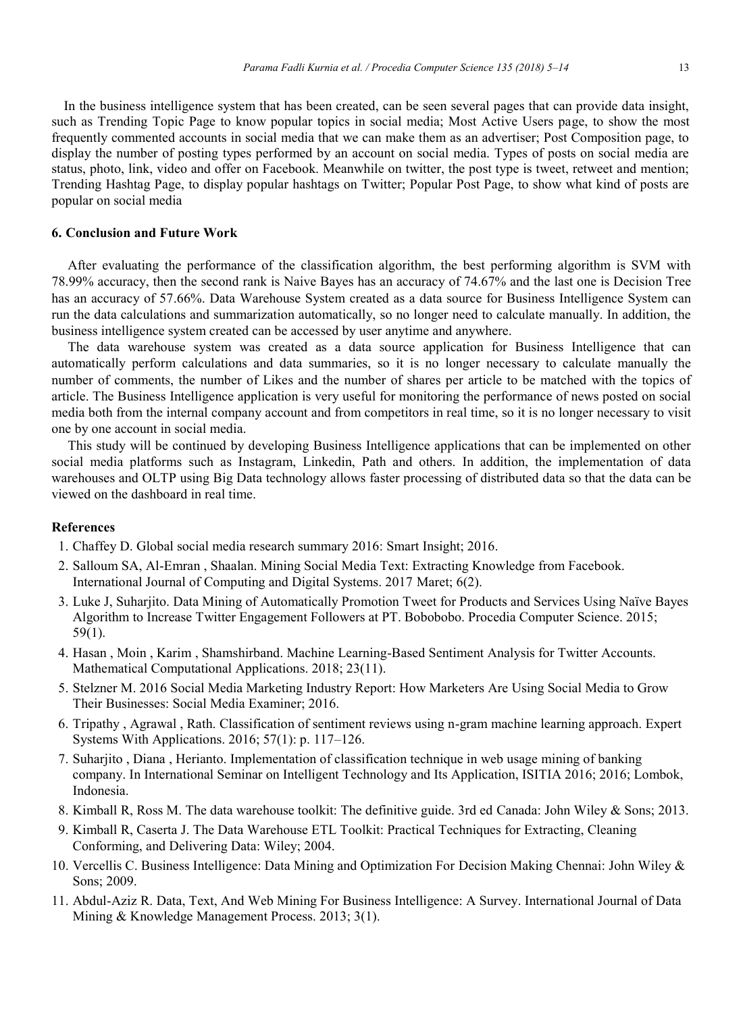In the business intelligence system that has been created, can be seen several pages that can provide data insight, such as Trending Topic Page to know popular topics in social media; Most Active Users page, to show the most frequently commented accounts in social media that we can make them as an advertiser; Post Composition page, to display the number of posting types performed by an account on social media. Types of posts on social media are status, photo, link, video and offer on Facebook. Meanwhile on twitter, the post type is tweet, retweet and mention; Trending Hashtag Page, to display popular hashtags on Twitter; Popular Post Page, to show what kind of posts are popular on social media

## **6. Conclusion and Future Work**

After evaluating the performance of the classification algorithm, the best performing algorithm is SVM with 78.99% accuracy, then the second rank is Naive Bayes has an accuracy of 74.67% and the last one is Decision Tree has an accuracy of 57.66%. Data Warehouse System created as a data source for Business Intelligence System can run the data calculations and summarization automatically, so no longer need to calculate manually. In addition, the business intelligence system created can be accessed by user anytime and anywhere.

The data warehouse system was created as a data source application for Business Intelligence that can automatically perform calculations and data summaries, so it is no longer necessary to calculate manually the number of comments, the number of Likes and the number of shares per article to be matched with the topics of article. The Business Intelligence application is very useful for monitoring the performance of news posted on social media both from the internal company account and from competitors in real time, so it is no longer necessary to visit one by one account in social media.

This study will be continued by developing Business Intelligence applications that can be implemented on other social media platforms such as Instagram, Linkedin, Path and others. In addition, the implementation of data warehouses and OLTP using Big Data technology allows faster processing of distributed data so that the data can be viewed on the dashboard in real time.

## **References**

- 1. Chaffey D. Global social media research summary 2016: Smart Insight; 2016.
- 2. Salloum SA, Al-Emran , Shaalan. Mining Social Media Text: Extracting Knowledge from Facebook. International Journal of Computing and Digital Systems. 2017 Maret; 6(2).
- 3. Luke J, Suharjito. Data Mining of Automatically Promotion Tweet for Products and Services Using Naïve Bayes Algorithm to Increase Twitter Engagement Followers at PT. Bobobobo. Procedia Computer Science. 2015; 59(1).
- 4. Hasan , Moin , Karim , Shamshirband. Machine Learning-Based Sentiment Analysis for Twitter Accounts. Mathematical Computational Applications. 2018; 23(11).
- 5. Stelzner M. 2016 Social Media Marketing Industry Report: How Marketers Are Using Social Media to Grow Their Businesses: Social Media Examiner; 2016.
- 6. Tripathy , Agrawal , Rath. Classification of sentiment reviews using n-gram machine learning approach. Expert Systems With Applications. 2016; 57(1): p. 117–126.
- 7. Suharjito , Diana , Herianto. Implementation of classification technique in web usage mining of banking company. In International Seminar on Intelligent Technology and Its Application, ISITIA 2016; 2016; Lombok, Indonesia.
- 8. Kimball R, Ross M. The data warehouse toolkit: The definitive guide. 3rd ed Canada: John Wiley & Sons; 2013.
- 9. Kimball R, Caserta J. The Data Warehouse ETL Toolkit: Practical Techniques for Extracting, Cleaning Conforming, and Delivering Data: Wiley; 2004.
- 10. Vercellis C. Business Intelligence: Data Mining and Optimization For Decision Making Chennai: John Wiley & Sons; 2009.
- 11. Abdul-Aziz R. Data, Text, And Web Mining For Business Intelligence: A Survey. International Journal of Data Mining & Knowledge Management Process. 2013; 3(1).